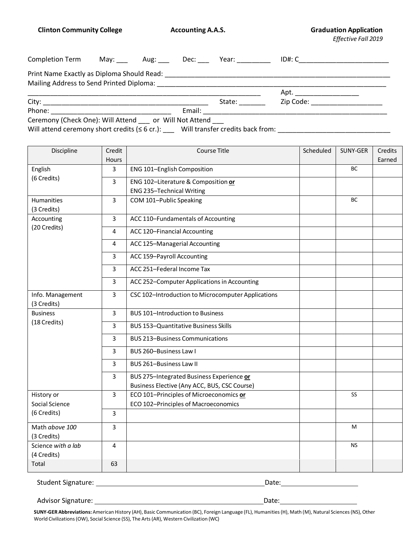**Clinton Community College Accounting A.A.S. Graduation Application Graduation Application** 

*Effective Fall 2019*

| Completion Term May: Aug: Dec: Year:                       |  |        | ID#: C________________________ |  |
|------------------------------------------------------------|--|--------|--------------------------------|--|
|                                                            |  |        |                                |  |
|                                                            |  |        |                                |  |
|                                                            |  | State: | Zip Code: ____________________ |  |
|                                                            |  |        |                                |  |
| Ceremony (Check One): Will Attend ___ or Will Not Attend _ |  |        |                                |  |

Will attend ceremony short credits (≤ 6 cr.): \_\_\_ Will transfer credits back from: \_\_\_\_\_\_\_\_\_\_\_\_\_\_\_\_\_\_\_\_\_\_\_\_\_\_\_\_\_\_\_\_\_

| Discipline         | Credit       | <b>Course Title</b>                                | Scheduled | SUNY-GER  | Credits |
|--------------------|--------------|----------------------------------------------------|-----------|-----------|---------|
|                    | Hours        |                                                    |           |           | Earned  |
| English            | 3            | ENG 101-English Composition                        |           | <b>BC</b> |         |
| (6 Credits)        | 3            | ENG 102-Literature & Composition or                |           |           |         |
|                    |              | ENG 235-Technical Writing                          |           |           |         |
| Humanities         | 3            | COM 101-Public Speaking                            |           | BC        |         |
| (3 Credits)        |              |                                                    |           |           |         |
| Accounting         | $\mathbf{3}$ | ACC 110-Fundamentals of Accounting                 |           |           |         |
| (20 Credits)       | 4            | ACC 120-Financial Accounting                       |           |           |         |
|                    | 4            | ACC 125-Managerial Accounting                      |           |           |         |
|                    | 3            | ACC 159-Payroll Accounting                         |           |           |         |
|                    | 3            | ACC 251-Federal Income Tax                         |           |           |         |
|                    | 3            | ACC 252-Computer Applications in Accounting        |           |           |         |
| Info. Management   | 3            | CSC 102-Introduction to Microcomputer Applications |           |           |         |
| (3 Credits)        |              |                                                    |           |           |         |
| <b>Business</b>    | 3            | <b>BUS 101-Introduction to Business</b>            |           |           |         |
| (18 Credits)       | 3            | <b>BUS 153-Quantitative Business Skills</b>        |           |           |         |
|                    | 3            | <b>BUS 213-Business Communications</b>             |           |           |         |
|                    | 3            | BUS 260-Business Law I                             |           |           |         |
|                    | 3            | BUS 261-Business Law II                            |           |           |         |
|                    | 3            | BUS 275-Integrated Business Experience or          |           |           |         |
|                    |              | Business Elective (Any ACC, BUS, CSC Course)       |           |           |         |
| History or         | 3            | ECO 101-Principles of Microeconomics or            |           | <b>SS</b> |         |
| Social Science     |              | ECO 102-Principles of Macroeconomics               |           |           |         |
| (6 Credits)        | 3            |                                                    |           |           |         |
| Math above 100     | 3            |                                                    |           | M         |         |
| (3 Credits)        |              |                                                    |           |           |         |
| Science with a lab | 4            |                                                    |           | <b>NS</b> |         |
| (4 Credits)        |              |                                                    |           |           |         |
| Total              | 63           |                                                    |           |           |         |

Student Signature: Date:

Advisor Signature: Date:

**SUNY-GER Abbreviations:** American History (AH), Basic Communication (BC), Foreign Language (FL), Humanities(H), Math (M), Natural Sciences(NS), Other World Civilizations(OW), Social Science (SS), The Arts(AR), Western Civilization (WC)